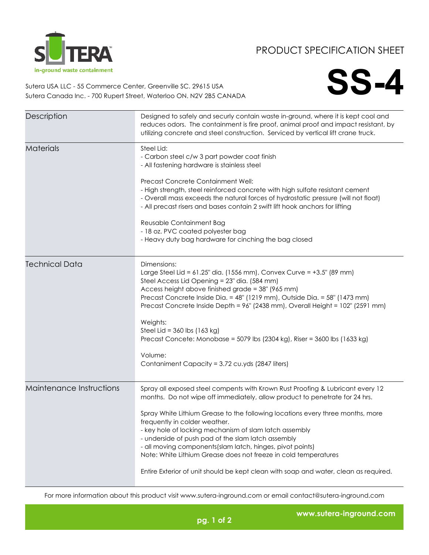

## PRODUCT SPECIFICATION SHEET

**SS-4**

Sutera USA LLC - 55 Commerce Center, Greenville SC. 29615 USA Sutera Canada Inc. - 700 Rupert Street, Waterloo ON. N2V 2B5 CANADA

| Description              | Designed to safely and securly contain waste in-ground, where it is kept cool and<br>reduces odors. The containment is fire proof, animal proof and impact resistant, by<br>utilizing concrete and steel construction. Serviced by vertical lift crane truck.                                                                                                                                                                                                                                                                                                                                                             |
|--------------------------|---------------------------------------------------------------------------------------------------------------------------------------------------------------------------------------------------------------------------------------------------------------------------------------------------------------------------------------------------------------------------------------------------------------------------------------------------------------------------------------------------------------------------------------------------------------------------------------------------------------------------|
| <b>Materials</b>         | Steel Lid:<br>- Carbon steel c/w 3 part powder coat finish<br>- All fastening hardware is stainless steel<br>Precast Concrete Containment Well:<br>- High strength, steel reinforced concrete with high sulfate resistant cement<br>- Overall mass exceeds the natural forces of hydrostatic pressure (will not float)<br>- All precast risers and bases contain 2 swift lift hook anchors for lifting<br>Reusable Containment Bag<br>- 18 oz. PVC coated polyester bag<br>- Heavy duty bag hardware for cinching the bag closed                                                                                          |
| <b>Technical Data</b>    | Dimensions:<br>Large Steel Lid = 61.25" dia. (1556 mm), Convex Curve = +3.5" (89 mm)<br>Steel Access Lid Opening = 23" dia. (584 mm)<br>Access height above finished grade = 38" (965 mm)<br>Precast Concrete Inside Dia. = 48" (1219 mm), Outside Dia. = 58" (1473 mm)<br>Precast Concrete Inside Depth = 96" (2438 mm), Overall Height = 102" (2591 mm)<br>Weights:<br>Steel Lid = $360$ lbs (163 kg)<br>Precast Concete: Monobase = 5079 lbs (2304 kg), Riser = 3600 lbs (1633 kg)<br>Volume:<br>Contaniment Capacity = 3.72 cu.yds (2847 liters)                                                                      |
| Maintenance Instructions | Spray all exposed steel compents with Krown Rust Proofing & Lubricant every 12<br>months. Do not wipe off immediately, allow product to penetrate for 24 hrs.<br>Spray White Lithium Grease to the following locations every three months, more<br>frequently in colder weather.<br>- key hole of locking mechanism of slam latch assembly<br>- underside of push pad of the slam latch assembly<br>- all moving components (slam latch, hinges, pivot points)<br>Note: White Lithium Grease does not freeze in cold temperatures<br>Entire Exterior of unit should be kept clean with soap and water, clean as required. |

For more information about this product visit www.sutera-inground.com or email contact@sutera-inground.com